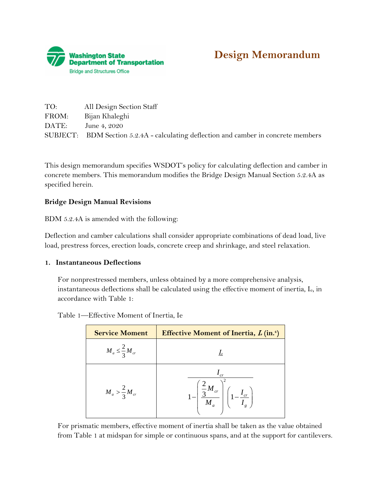



| TO:   | All Design Section Staff                                                            |
|-------|-------------------------------------------------------------------------------------|
| FROM: | Bijan Khaleghi                                                                      |
| DATE: | June 4, 2020                                                                        |
|       | SUBJECT: BDM Section 5.2.4A - calculating deflection and camber in concrete members |

This design memorandum specifies WSDOT's policy for calculating deflection and camber in concrete members. This memorandum modifies the Bridge Design Manual Section 5.2.4A as specified herein.

## **Bridge Design Manual Revisions**

BDM 5.2.4A is amended with the following:

Deflection and camber calculations shall consider appropriate combinations of dead load, live load, prestress forces, erection loads, concrete creep and shrinkage, and steel relaxation.

## **1. Instantaneous Deflections**

For nonprestressed members, unless obtained by a more comprehensive analysis, instantaneous deflections shall be calculated using the effective moment of inertia, Ie, in accordance with Table 1:

Table 1—Effective Moment of Inertia, Ie

| <b>Service Moment</b>         | <b>Effective Moment of Inertia, <i>I.</i></b> (in. <sup>4</sup> )                 |
|-------------------------------|-----------------------------------------------------------------------------------|
| $M_a \leq \frac{2}{3} M_{cr}$ |                                                                                   |
| $M_a > \frac{2}{3} M_{cr}$    | $1-\left(\frac{\frac{2}{3}M_{cr}}{M_a}\right)^2\left(1-\frac{I_{cr}}{I_s}\right)$ |

For prismatic members, effective moment of inertia shall be taken as the value obtained from Table 1 at midspan for simple or continuous spans, and at the support for cantilevers.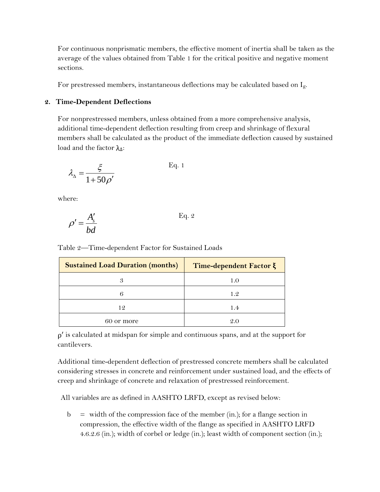For continuous nonprismatic members, the effective moment of inertia shall be taken as the average of the values obtained from Table 1 for the critical positive and negative moment sections.

For prestressed members, instantaneous deflections may be calculated based on Ig.

## **2. Time-Dependent Deflections**

For nonprestressed members, unless obtained from a more comprehensive analysis, additional time-dependent deflection resulting from creep and shrinkage of flexural members shall be calculated as the product of the immediate deflection caused by sustained load and the factor  $λ<sub>Λ</sub>$ :

$$
\lambda_{\Delta} = \frac{\xi}{1 + 50\rho'}
$$
 Eq. 1

where:

$$
\rho' = \frac{A_s'}{bd}
$$
 Eq. 2

Table 2—Time-dependent Factor for Sustained Loads

| <b>Sustained Load Duration (months)</b> | Time-dependent Factor ξ |
|-----------------------------------------|-------------------------|
| 3                                       | 1.0                     |
| 6                                       | 1.2                     |
| 12                                      | 1.4                     |
| 60 or more                              | 9.0                     |

 $p'$  is calculated at midspan for simple and continuous spans, and at the support for cantilevers.

Additional time-dependent deflection of prestressed concrete members shall be calculated considering stresses in concrete and reinforcement under sustained load, and the effects of creep and shrinkage of concrete and relaxation of prestressed reinforcement.

All variables are as defined in AASHTO LRFD, except as revised below:

 $b =$  width of the compression face of the member (in.); for a flange section in compression, the effective width of the flange as specified in AASHTO LRFD 4.6.2.6 (in.); width of corbel or ledge (in.); least width of component section (in.);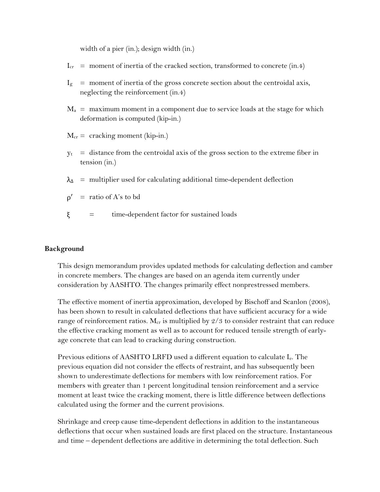width of a pier (in.); design width (in.)

- $I_{cr}$  = moment of inertia of the cracked section, transformed to concrete (in.4)
- $I<sub>g</sub>$  = moment of inertia of the gross concrete section about the centroidal axis, neglecting the reinforcement (in.4)
- $M_a$  = maximum moment in a component due to service loads at the stage for which deformation is computed (kip-in.)
- $M_{cr}$  = cracking moment (kip-in.)
- $y_t$  = distance from the centroidal axis of the gross section to the extreme fiber in tension (in.)
- $\lambda_{\Delta}$  = multiplier used for calculating additional time-dependent deflection
- $\rho'$  = ratio of A's to bd
- ξ = time-dependent factor for sustained loads

## **Background**

This design memorandum provides updated methods for calculating deflection and camber in concrete members. The changes are based on an agenda item currently under consideration by AASHTO. The changes primarily effect nonprestressed members.

The effective moment of inertia approximation, developed by Bischoff and Scanlon (2008), has been shown to result in calculated deflections that have sufficient accuracy for a wide range of reinforcement ratios.  $M_{cr}$  is multiplied by  $2/3$  to consider restraint that can reduce the effective cracking moment as well as to account for reduced tensile strength of earlyage concrete that can lead to cracking during construction.

Previous editions of AASHTO LRFD used a different equation to calculate I<sub>e</sub>. The previous equation did not consider the effects of restraint, and has subsequently been shown to underestimate deflections for members with low reinforcement ratios. For members with greater than 1 percent longitudinal tension reinforcement and a service moment at least twice the cracking moment, there is little difference between deflections calculated using the former and the current provisions.

Shrinkage and creep cause time-dependent deflections in addition to the instantaneous deflections that occur when sustained loads are first placed on the structure. Instantaneous and time – dependent deflections are additive in determining the total deflection. Such